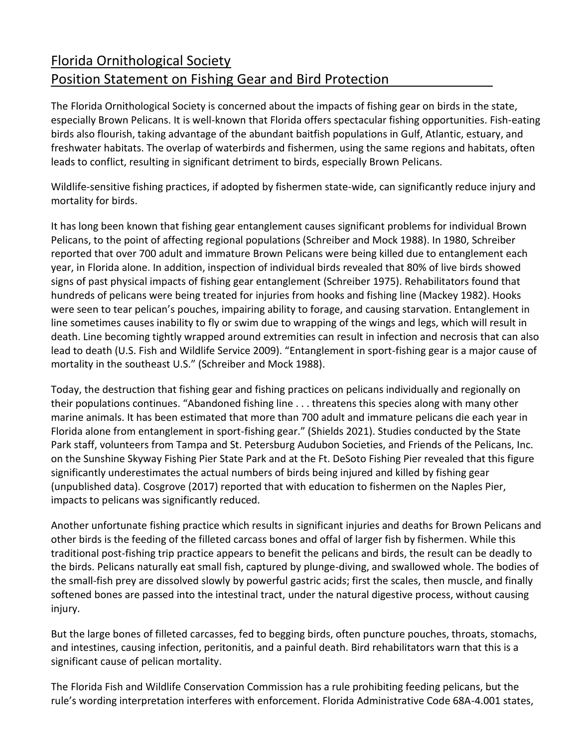## Florida Ornithological Society Position Statement on Fishing Gear and Bird Protection

The Florida Ornithological Society is concerned about the impacts of fishing gear on birds in the state, especially Brown Pelicans. It is well-known that Florida offers spectacular fishing opportunities. Fish-eating birds also flourish, taking advantage of the abundant baitfish populations in Gulf, Atlantic, estuary, and freshwater habitats. The overlap of waterbirds and fishermen, using the same regions and habitats, often leads to conflict, resulting in significant detriment to birds, especially Brown Pelicans.

Wildlife-sensitive fishing practices, if adopted by fishermen state-wide, can significantly reduce injury and mortality for birds.

It has long been known that fishing gear entanglement causes significant problems for individual Brown Pelicans, to the point of affecting regional populations (Schreiber and Mock 1988). In 1980, Schreiber reported that over 700 adult and immature Brown Pelicans were being killed due to entanglement each year, in Florida alone. In addition, inspection of individual birds revealed that 80% of live birds showed signs of past physical impacts of fishing gear entanglement (Schreiber 1975). Rehabilitators found that hundreds of pelicans were being treated for injuries from hooks and fishing line (Mackey 1982). Hooks were seen to tear pelican's pouches, impairing ability to forage, and causing starvation. Entanglement in line sometimes causes inability to fly or swim due to wrapping of the wings and legs, which will result in death. Line becoming tightly wrapped around extremities can result in infection and necrosis that can also lead to death (U.S. Fish and Wildlife Service 2009). "Entanglement in sport-fishing gear is a major cause of mortality in the southeast U.S." (Schreiber and Mock 1988).

Today, the destruction that fishing gear and fishing practices on pelicans individually and regionally on their populations continues. "Abandoned fishing line . . . threatens this species along with many other marine animals. It has been estimated that more than 700 adult and immature pelicans die each year in Florida alone from entanglement in sport-fishing gear." (Shields 2021). Studies conducted by the State Park staff, volunteers from Tampa and St. Petersburg Audubon Societies, and Friends of the Pelicans, Inc. on the Sunshine Skyway Fishing Pier State Park and at the Ft. DeSoto Fishing Pier revealed that this figure significantly underestimates the actual numbers of birds being injured and killed by fishing gear (unpublished data). Cosgrove (2017) reported that with education to fishermen on the Naples Pier, impacts to pelicans was significantly reduced.

Another unfortunate fishing practice which results in significant injuries and deaths for Brown Pelicans and other birds is the feeding of the filleted carcass bones and offal of larger fish by fishermen. While this traditional post-fishing trip practice appears to benefit the pelicans and birds, the result can be deadly to the birds. Pelicans naturally eat small fish, captured by plunge-diving, and swallowed whole. The bodies of the small-fish prey are dissolved slowly by powerful gastric acids; first the scales, then muscle, and finally softened bones are passed into the intestinal tract, under the natural digestive process, without causing injury.

But the large bones of filleted carcasses, fed to begging birds, often puncture pouches, throats, stomachs, and intestines, causing infection, peritonitis, and a painful death. Bird rehabilitators warn that this is a significant cause of pelican mortality.

The Florida Fish and Wildlife Conservation Commission has a rule prohibiting feeding pelicans, but the rule's wording interpretation interferes with enforcement. Florida Administrative Code 68A-4.001 states,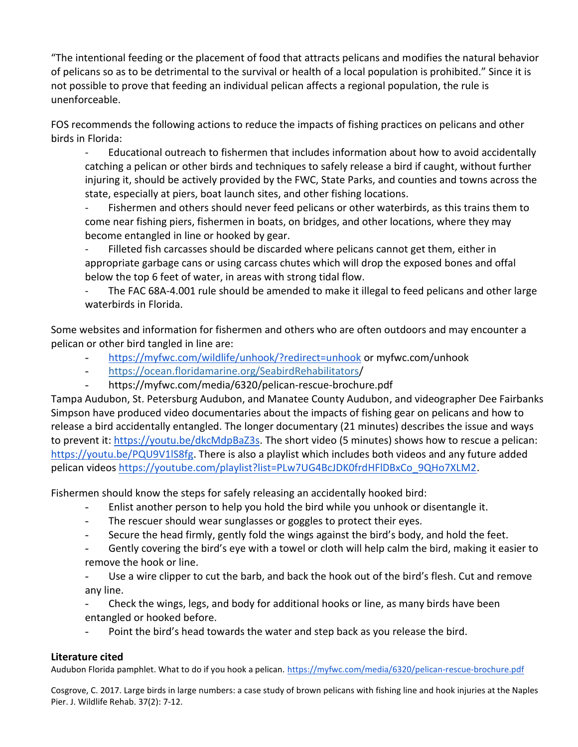"The intentional feeding or the placement of food that attracts pelicans and modifies the natural behavior of pelicans so as to be detrimental to the survival or health of a local population is prohibited." Since it is not possible to prove that feeding an individual pelican affects a regional population, the rule is unenforceable.

FOS recommends the following actions to reduce the impacts of fishing practices on pelicans and other birds in Florida:

Educational outreach to fishermen that includes information about how to avoid accidentally catching a pelican or other birds and techniques to safely release a bird if caught, without further injuring it, should be actively provided by the FWC, State Parks, and counties and towns across the state, especially at piers, boat launch sites, and other fishing locations.

Fishermen and others should never feed pelicans or other waterbirds, as this trains them to come near fishing piers, fishermen in boats, on bridges, and other locations, where they may become entangled in line or hooked by gear.

Filleted fish carcasses should be discarded where pelicans cannot get them, either in appropriate garbage cans or using carcass chutes which will drop the exposed bones and offal below the top 6 feet of water, in areas with strong tidal flow.

The FAC 68A-4.001 rule should be amended to make it illegal to feed pelicans and other large waterbirds in Florida.

Some websites and information for fishermen and others who are often outdoors and may encounter a pelican or other bird tangled in line are:

- <https://myfwc.com/wildlife/unhook/?redirect=unhook> or myfwc.com/unhook
- <https://ocean.floridamarine.org/SeabirdRehabilitators/>
- https://myfwc.com/media/6320/pelican-rescue-brochure.pdf

Tampa Audubon, St. Petersburg Audubon, and Manatee County Audubon, and videographer Dee Fairbanks Simpson have produced video documentaries about the impacts of fishing gear on pelicans and how to release a bird accidentally entangled. The longer documentary (21 minutes) describes the issue and ways to prevent it: [https://youtu.be/dkcMdpBaZ3s.](https://youtu.be/dkcMdpBaZ3s) The short video (5 minutes) shows how to rescue a pelican: [https://youtu.be/PQU9V1lS8fg.](https://youtu.be/PQU9V1lS8fg) There is also a playlist which includes both videos and any future added pelican videos [https://youtube.com/playlist?list=PLw7UG4BcJDK0frdHFlDBxCo\\_9QHo7XLM2.](https://youtube.com/playlist?list=PLw7UG4BcJDK0frdHFlDBxCo_9QHo7XLM2)

Fishermen should know the steps for safely releasing an accidentally hooked bird:

- Enlist another person to help you hold the bird while you unhook or disentangle it.
- The rescuer should wear sunglasses or goggles to protect their eyes.
- Secure the head firmly, gently fold the wings against the bird's body, and hold the feet.
- Gently covering the bird's eye with a towel or cloth will help calm the bird, making it easier to remove the hook or line.
- Use a wire clipper to cut the barb, and back the hook out of the bird's flesh. Cut and remove any line.
- Check the wings, legs, and body for additional hooks or line, as many birds have been entangled or hooked before.
- Point the bird's head towards the water and step back as you release the bird.

## **Literature cited**

Audubon Florida pamphlet. What to do if you hook a pelican.<https://myfwc.com/media/6320/pelican-rescue-brochure.pdf>

Cosgrove, C. 2017. Large birds in large numbers: a case study of brown pelicans with fishing line and hook injuries at the Naples Pier. J. Wildlife Rehab. 37(2): 7-12.